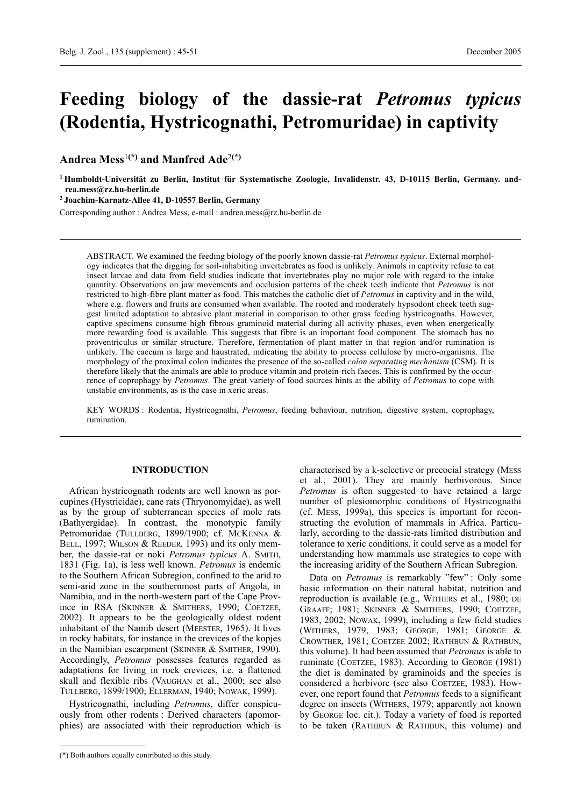# **Feeding biology of the dassie-rat** *Petromus typicus* **(Rodentia, Hystricognathi, Petromuridae) in captivity**

**Andrea Mess**<sup>1</sup>**(\*) and Manfred Ade**2**(\*)**

**<sup>1</sup> Humboldt-Universität zu Berlin, Institut für Systematische Zoologie, Invalidenstr. 43, D-10115 Berlin, Germany. andrea.mess@rz.hu-berlin.de**

**<sup>2</sup> Joachim-Karnatz-Allee 41, D-10557 Berlin, Germany**

Corresponding author : Andrea Mess, e-mail : andrea.mess@rz.hu-berlin.de

ABSTRACT. We examined the feeding biology of the poorly known dassie-rat *Petromus typicus*. External morphology indicates that the digging for soil-inhabiting invertebrates as food is unlikely. Animals in captivity refuse to eat insect larvae and data from field studies indicate that invertebrates play no major role with regard to the intake quantity. Observations on jaw movements and occlusion patterns of the cheek teeth indicate that *Petromus* is not restricted to high-fibre plant matter as food. This matches the catholic diet of *Petromus* in captivity and in the wild, where e.g. flowers and fruits are consumed when available. The rooted and moderately hypsodont cheek teeth suggest limited adaptation to abrasive plant material in comparison to other grass feeding hystricognaths. However, captive specimens consume high fibrous graminoid material during all activity phases, even when energetically more rewarding food is available. This suggests that fibre is an important food component. The stomach has no proventriculus or similar structure. Therefore, fermentation of plant matter in that region and/or rumination is unlikely. The caecum is large and haustrated, indicating the ability to process cellulose by micro-organisms. The morphology of the proximal colon indicates the presence of the so-called *colon separating mechanism* (CSM). It is therefore likely that the animals are able to produce vitamin and protein-rich faeces. This is confirmed by the occurrence of coprophagy by *Petromus*. The great variety of food sources hints at the ability of *Petromus* to cope with unstable environments, as is the case in xeric areas.

KEY WORDS : Rodentia, Hystricognathi, *Petromus*, feeding behaviour, nutrition, digestive system, coprophagy, rumination.

# **INTRODUCTION**

African hystricognath rodents are well known as porcupines (Hystricidae), cane rats (Thryonomyidae), as well as by the group of subterranean species of mole rats (Bathyergidae). In contrast, the monotypic family Petromuridae (TULLBERG, 1899/1900; cf. MCKENNA & BELL, 1997; WILSON & REEDER, 1993) and its only member, the dassie-rat or noki *Petromus typicus* A. SMITH, 1831 (Fig. 1a), is less well known. *Petromus* is endemic to the Southern African Subregion, confined to the arid to semi-arid zone in the southernmost parts of Angola, in Namibia, and in the north-western part of the Cape Province in RSA (SKINNER & SMITHERS, 1990; COETZEE, 2002). It appears to be the geologically oldest rodent inhabitant of the Namib desert (MEESTER, 1965). It lives in rocky habitats, for instance in the crevices of the kopjes in the Namibian escarpment (SKINNER & SMITHER, 1990). Accordingly, *Petromus* possesses features regarded as adaptations for living in rock crevices, i.e. a flattened skull and flexible ribs (VAUGHAN et al., 2000; see also TULLBERG, 1899/1900; ELLERMAN, 1940; NOWAK, 1999).

Hystricognathi, including *Petromus*, differ conspicuously from other rodents : Derived characters (apomorphies) are associated with their reproduction which is characterised by a k-selective or precocial strategy (MESS et al*.*, 2001). They are mainly herbivorous. Since *Petromus* is often suggested to have retained a large number of plesiomorphic conditions of Hystricognathi (cf. MESS, 1999a), this species is important for reconstructing the evolution of mammals in Africa. Particularly, according to the dassie-rats limited distribution and tolerance to xeric conditions, it could serve as a model for understanding how mammals use strategies to cope with the increasing aridity of the Southern African Subregion.

Data on *Petromus* is remarkably "few" : Only some basic information on their natural habitat, nutrition and reproduction is available (e.g., WITHERS et al., 1980; DE GRAAFF; 1981; SKINNER & SMITHERS, 1990; COETZEE, 1983, 2002; NOWAK, 1999), including a few field studies (WITHERS, 1979, 1983; GEORGE, 1981; GEORGE & CROWTHER, 1981; COETZEE 2002; RATHBUN & RATHBUN, this volume). It had been assumed that *Petromus* is able to ruminate (COETZEE, 1983). According to GEORGE (1981) the diet is dominated by graminoids and the species is considered a herbivore (see also COETZEE, 1983). However, one report found that *Petromus* feeds to a significant degree on insects (WITHERS, 1979; apparently not known by GEORGE loc. cit.). Today a variety of food is reported to be taken (RATHBUN & RATHBUN, this volume) and

<sup>(\*)</sup> Both authors equally contributed to this study.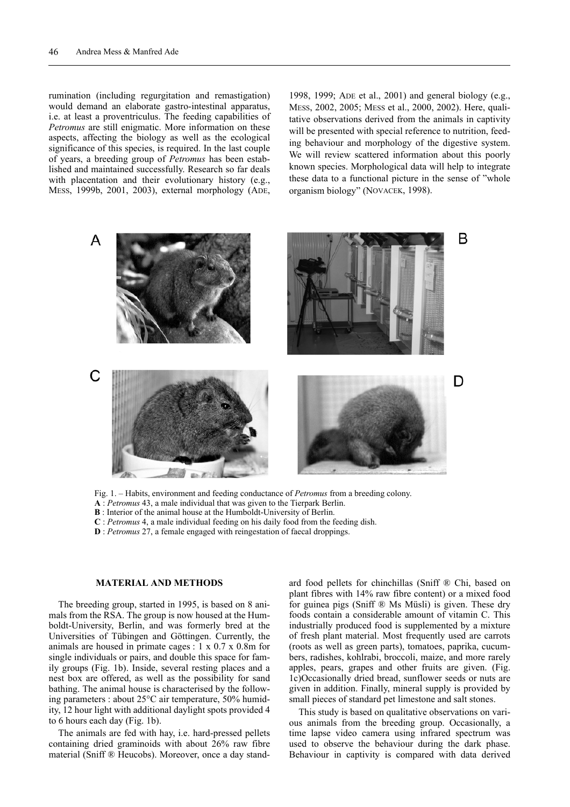rumination (including regurgitation and remastigation) would demand an elaborate gastro-intestinal apparatus, i.e. at least a proventriculus. The feeding capabilities of *Petromus* are still enigmatic. More information on these aspects, affecting the biology as well as the ecological significance of this species, is required. In the last couple of years, a breeding group of *Petromus* has been established and maintained successfully. Research so far deals with placentation and their evolutionary history (e.g., MESS, 1999b, 2001, 2003), external morphology (ADE,

1998, 1999; ADE et al., 2001) and general biology (e.g., MESS, 2002, 2005; MESS et al., 2000, 2002). Here, qualitative observations derived from the animals in captivity will be presented with special reference to nutrition, feeding behaviour and morphology of the digestive system. We will review scattered information about this poorly known species. Morphological data will help to integrate these data to a functional picture in the sense of "whole organism biology" (NOVACEK, 1998).



Fig. 1. – Habits, environment and feeding conductance of *Petromus* from a breeding colony.

**A** : *Petromus* 43, a male individual that was given to the Tierpark Berlin.

**B** : Interior of the animal house at the Humboldt-University of Berlin.

**C** : *Petromus* 4, a male individual feeding on his daily food from the feeding dish.

**D** : *Petromus* 27, a female engaged with reingestation of faecal droppings.

### **MATERIAL AND METHODS**

The breeding group, started in 1995, is based on 8 animals from the RSA. The group is now housed at the Humboldt-University, Berlin, and was formerly bred at the Universities of Tübingen and Göttingen. Currently, the animals are housed in primate cages : 1 x 0.7 x 0.8m for single individuals or pairs, and double this space for family groups (Fig. 1b). Inside, several resting places and a nest box are offered, as well as the possibility for sand bathing. The animal house is characterised by the following parameters : about 25°C air temperature, 50% humidity, 12 hour light with additional daylight spots provided 4 to 6 hours each day (Fig. 1b).

The animals are fed with hay, i.e. hard-pressed pellets containing dried graminoids with about 26% raw fibre material (Sniff ® Heucobs). Moreover, once a day standard food pellets for chinchillas (Sniff ® Chi, based on plant fibres with 14% raw fibre content) or a mixed food for guinea pigs (Sniff ® Ms Müsli) is given. These dry foods contain a considerable amount of vitamin C. This industrially produced food is supplemented by a mixture of fresh plant material. Most frequently used are carrots (roots as well as green parts), tomatoes, paprika, cucumbers, radishes, kohlrabi, broccoli, maize, and more rarely apples, pears, grapes and other fruits are given. (Fig. 1c)Occasionally dried bread, sunflower seeds or nuts are given in addition. Finally, mineral supply is provided by small pieces of standard pet limestone and salt stones.

This study is based on qualitative observations on various animals from the breeding group. Occasionally, a time lapse video camera using infrared spectrum was used to observe the behaviour during the dark phase. Behaviour in captivity is compared with data derived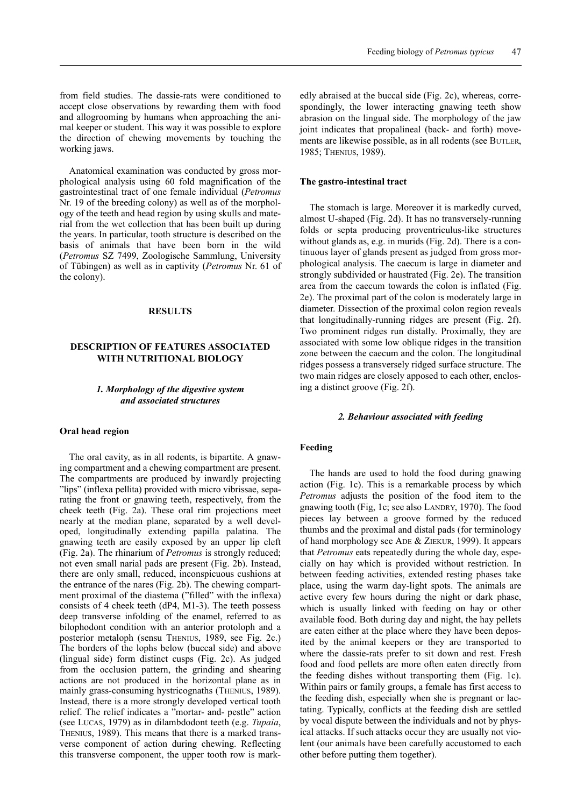Anatomical examination was conducted by gross morphological analysis using 60 fold magnification of the gastrointestinal tract of one female individual (*Petromus* Nr. 19 of the breeding colony) as well as of the morphology of the teeth and head region by using skulls and material from the wet collection that has been built up during the years. In particular, tooth structure is described on the basis of animals that have been born in the wild (*Petromus* SZ 7499, Zoologische Sammlung, University of Tübingen) as well as in captivity (*Petromus* Nr. 61 of the colony).

## **RESULTS**

# **DESCRIPTION OF FEATURES ASSOCIATED WITH NUTRITIONAL BIOLOGY**

## *1. Morphology of the digestive system and associated structures*

#### **Oral head region**

The oral cavity, as in all rodents, is bipartite. A gnawing compartment and a chewing compartment are present. The compartments are produced by inwardly projecting "lips" (inflexa pellita) provided with micro vibrissae, separating the front or gnawing teeth, respectively, from the cheek teeth (Fig. 2a). These oral rim projections meet nearly at the median plane, separated by a well developed, longitudinally extending papilla palatina. The gnawing teeth are easily exposed by an upper lip cleft (Fig. 2a). The rhinarium of *Petromus* is strongly reduced; not even small narial pads are present (Fig. 2b). Instead, there are only small, reduced, inconspicuous cushions at the entrance of the nares (Fig. 2b). The chewing compartment proximal of the diastema ("filled" with the inflexa) consists of 4 cheek teeth (dP4, M1-3). The teeth possess deep transverse infolding of the enamel, referred to as bilophodont condition with an anterior protoloph and a posterior metaloph (sensu THENIUS, 1989, see Fig. 2c.) The borders of the lophs below (buccal side) and above (lingual side) form distinct cusps (Fig. 2c). As judged from the occlusion pattern, the grinding and shearing actions are not produced in the horizontal plane as in mainly grass-consuming hystricognaths (THENIUS, 1989). Instead, there is a more strongly developed vertical tooth relief. The relief indicates a "mortar- and- pestle" action (see LUCAS, 1979) as in dilambdodont teeth (e.g. *Tupaia*, THENIUS, 1989). This means that there is a marked transverse component of action during chewing. Reflecting this transverse component, the upper tooth row is mark-

edly abraised at the buccal side (Fig. 2c), whereas, correspondingly, the lower interacting gnawing teeth show abrasion on the lingual side. The morphology of the jaw joint indicates that propalineal (back- and forth) movements are likewise possible, as in all rodents (see BUTLER, 1985; THENIUS, 1989).

## **The gastro-intestinal tract**

The stomach is large. Moreover it is markedly curved, almost U-shaped (Fig. 2d). It has no transversely-running folds or septa producing proventriculus-like structures without glands as, e.g. in murids (Fig. 2d). There is a continuous layer of glands present as judged from gross morphological analysis. The caecum is large in diameter and strongly subdivided or haustrated (Fig. 2e). The transition area from the caecum towards the colon is inflated (Fig. 2e). The proximal part of the colon is moderately large in diameter. Dissection of the proximal colon region reveals that longitudinally-running ridges are present (Fig. 2f). Two prominent ridges run distally. Proximally, they are associated with some low oblique ridges in the transition zone between the caecum and the colon. The longitudinal ridges possess a transversely ridged surface structure. The two main ridges are closely apposed to each other, enclosing a distinct groove (Fig. 2f).

#### *2. Behaviour associated with feeding*

## **Feeding**

The hands are used to hold the food during gnawing action (Fig. 1c). This is a remarkable process by which *Petromus* adjusts the position of the food item to the gnawing tooth (Fig, 1c; see also LANDRY, 1970). The food pieces lay between a groove formed by the reduced thumbs and the proximal and distal pads (for terminology of hand morphology see ADE & ZIEKUR, 1999). It appears that *Petromus* eats repeatedly during the whole day, especially on hay which is provided without restriction. In between feeding activities, extended resting phases take place, using the warm day-light spots. The animals are active every few hours during the night or dark phase, which is usually linked with feeding on hay or other available food. Both during day and night, the hay pellets are eaten either at the place where they have been deposited by the animal keepers or they are transported to where the dassie-rats prefer to sit down and rest. Fresh food and food pellets are more often eaten directly from the feeding dishes without transporting them (Fig. 1c). Within pairs or family groups, a female has first access to the feeding dish, especially when she is pregnant or lactating. Typically, conflicts at the feeding dish are settled by vocal dispute between the individuals and not by physical attacks. If such attacks occur they are usually not violent (our animals have been carefully accustomed to each other before putting them together).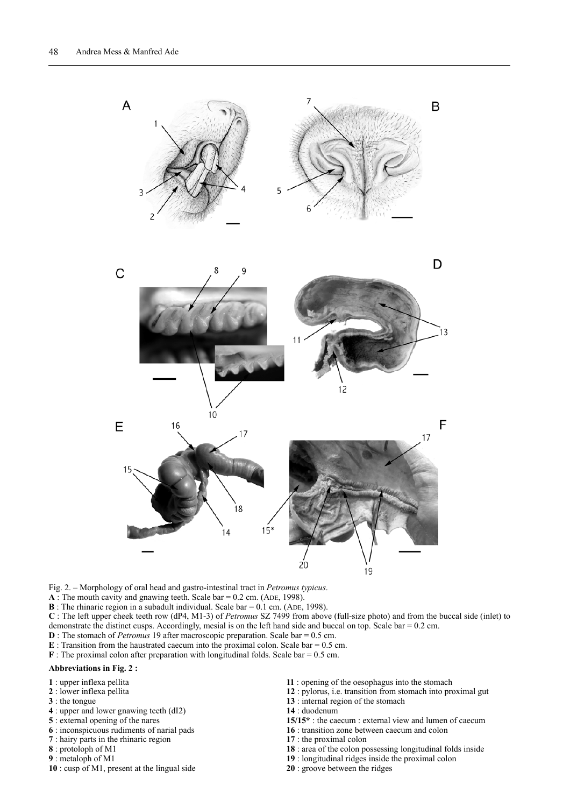

Fig. 2. – Morphology of oral head and gastro-intestinal tract in *Petromus typicus*.

**A** : The mouth cavity and gnawing teeth. Scale bar = 0.2 cm. (ADE, 1998).

**B** : The rhinaric region in a subadult individual. Scale bar = 0.1 cm. (ADE, 1998).

**C** : The left upper cheek teeth row (dP4, M1-3) of *Petromus* SZ 7499 from above (full-size photo) and from the buccal side (inlet) to demonstrate the distinct cusps. Accordingly, mesial is on the left hand side and buccal on top. Scale bar = 0.2 cm.

- **D** : The stomach of *Petromus* 19 after macroscopic preparation. Scale bar = 0.5 cm.
- **: Transition from the haustrated caecum into the proximal colon. Scale bar =**  $0.5$  **cm.**
- **F** : The proximal colon after preparation with longitudinal folds. Scale bar = 0.5 cm.

#### **Abbreviations in Fig. 2 :**

- : upper inflexa pellita
- : lower inflexa pellita
- : the tongue
- : upper and lower gnawing teeth (dI2)
- : external opening of the nares
- : inconspicuous rudiments of narial pads
- : hairy parts in the rhinaric region
- : protoloph of M1
- : metaloph of M1
- : cusp of M1, present at the lingual side
- : opening of the oesophagus into the stomach
- : pylorus, i.e. transition from stomach into proximal gut
- : internal region of the stomach
- : duodenum
- **15/15\*** : the caecum : external view and lumen of caecum
- : transition zone between caecum and colon
- : the proximal colon
- : area of the colon possessing longitudinal folds inside
- : longitudinal ridges inside the proximal colon
- : groove between the ridges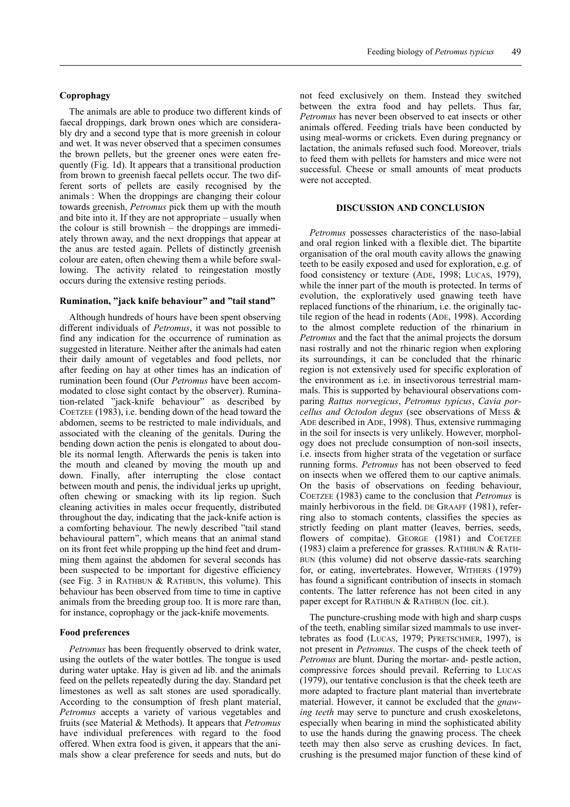The animals are able to produce two different kinds of faecal droppings, dark brown ones which are considerably dry and a second type that is more greenish in colour and wet. It was never observed that a specimen consumes the brown pellets, but the greener ones were eaten frequently (Fig. 1d). It appears that a transitional production from brown to greenish faecal pellets occur. The two different sorts of pellets are easily recognised by the animals : When the droppings are changing their colour towards greenish, *Petromus* pick them up with the mouth and bite into it. If they are not appropriate – usually when the colour is still brownish – the droppings are immediately thrown away, and the next droppings that appear at the anus are tested again. Pellets of distinctly greenish colour are eaten, often chewing them a while before swallowing. The activity related to reingestation mostly occurs during the extensive resting periods.

#### **Rumination, "jack knife behaviour" and "tail stand"**

Although hundreds of hours have been spent observing different individuals of *Petromus*, it was not possible to find any indication for the occurrence of rumination as suggested in literature. Neither after the animals had eaten their daily amount of vegetables and food pellets, nor after feeding on hay at other times has an indication of rumination been found (Our *Petromus* have been accommodated to close sight contact by the observer). Rumination-related "jack-knife behaviour" as described by COETZEE (1983), i.e. bending down of the head toward the abdomen, seems to be restricted to male individuals, and associated with the cleaning of the genitals. During the bending down action the penis is elongated to about double its normal length. Afterwards the penis is taken into the mouth and cleaned by moving the mouth up and down. Finally, after interrupting the close contact between mouth and penis, the individual jerks up upright, often chewing or smacking with its lip region. Such cleaning activities in males occur frequently, distributed throughout the day, indicating that the jack-knife action is a comforting behaviour. The newly described "tail stand behavioural pattern", which means that an animal stand on its front feet while propping up the hind feet and drumming them against the abdomen for several seconds has been suspected to be important for digestive efficiency (see Fig. 3 in RATHBUN  $&$  RATHBUN, this volume). This behaviour has been observed from time to time in captive animals from the breeding group too. It is more rare than, for instance, coprophagy or the jack-knife movements.

## **Food preferences**

*Petromus* has been frequently observed to drink water, using the outlets of the water bottles. The tongue is used during water uptake. Hay is given ad lib. and the animals feed on the pellets repeatedly during the day. Standard pet limestones as well as salt stones are used sporadically. According to the consumption of fresh plant material, *Petromus* accepts a variety of various vegetables and fruits (see Material & Methods). It appears that *Petromus* have individual preferences with regard to the food offered. When extra food is given, it appears that the animals show a clear preference for seeds and nuts, but do

not feed exclusively on them. Instead they switched between the extra food and hay pellets. Thus far, *Petromus* has never been observed to eat insects or other animals offered. Feeding trials have been conducted by using meal-worms or crickets. Even during pregnancy or lactation, the animals refused such food. Moreover, trials to feed them with pellets for hamsters and mice were not successful. Cheese or small amounts of meat products were not accepted.

# **DISCUSSION AND CONCLUSION**

*Petromus* possesses characteristics of the naso-labial and oral region linked with a flexible diet. The bipartite organisation of the oral mouth cavity allows the gnawing teeth to be easily exposed and used for exploration, e.g. of food consistency or texture (ADE, 1998; LUCAS, 1979), while the inner part of the mouth is protected. In terms of evolution, the exploratively used gnawing teeth have replaced functions of the rhinarium, i.e. the originally tactile region of the head in rodents (ADE, 1998). According to the almost complete reduction of the rhinarium in *Petromus* and the fact that the animal projects the dorsum nasi rostrally and not the rhinaric region when exploring its surroundings, it can be concluded that the rhinaric region is not extensively used for specific exploration of the environment as i.e. in insectivorous terrestrial mammals. This is supported by behavioural observations comparing *Rattus norvegicus*, *Petromus typicus*, *Cavia porcellus and Octodon degus* (see observations of MESS & ADE described in ADE, 1998). Thus, extensive rummaging in the soil for insects is very unlikely. However, morphology does not preclude consumption of non-soil insects, i.e. insects from higher strata of the vegetation or surface running forms. *Petromus* has not been observed to feed on insects when we offered them to our captive animals. On the basis of observations on feeding behaviour, COETZEE (1983) came to the conclusion that *Petromus* is mainly herbivorous in the field. DE GRAAFF (1981), referring also to stomach contents, classifies the species as strictly feeding on plant matter (leaves, berries, seeds, flowers of compitae). GEORGE (1981) and COETZEE (1983) claim a preference for grasses. RATHBUN & RATH-BUN (this volume) did not observe dassie-rats searching for, or eating, invertebrates. However, WITHERS (1979) has found a significant contribution of insects in stomach contents. The latter reference has not been cited in any paper except for RATHBUN & RATHBUN (loc. cit.).

The puncture-crushing mode with high and sharp cusps of the teeth, enabling similar sized mammals to use invertebrates as food (LUCAS, 1979; PFRETSCHMER, 1997), is not present in *Petromus*. The cusps of the cheek teeth of *Petromus* are blunt. During the mortar- and- pestle action, compressive forces should prevail. Referring to LUCAS (1979), our tentative conclusion is that the cheek teeth are more adapted to fracture plant material than invertebrate material. However, it cannot be excluded that the *gnawing teeth* may serve to puncture and crush exoskeletons, especially when bearing in mind the sophisticated ability to use the hands during the gnawing process. The cheek teeth may then also serve as crushing devices. In fact, crushing is the presumed major function of these kind of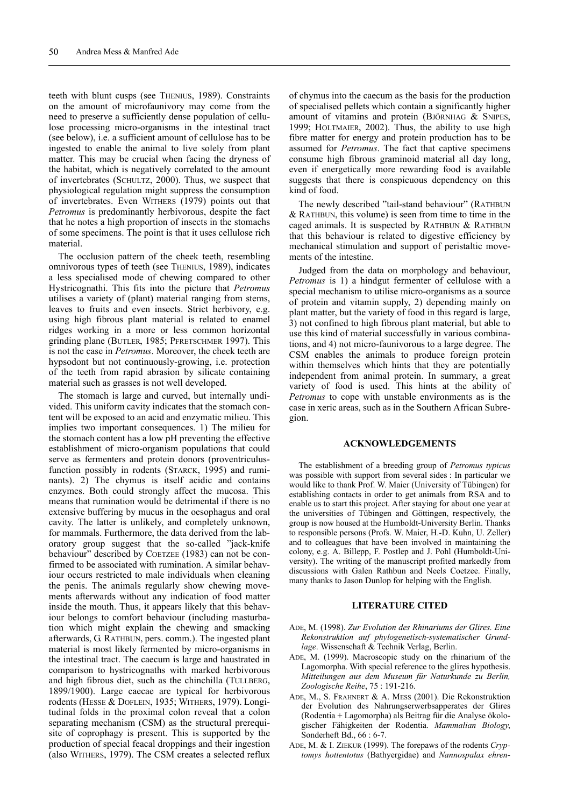teeth with blunt cusps (see THENIUS, 1989). Constraints on the amount of microfaunivory may come from the need to preserve a sufficiently dense population of cellulose processing micro-organisms in the intestinal tract (see below), i.e. a sufficient amount of cellulose has to be ingested to enable the animal to live solely from plant matter. This may be crucial when facing the dryness of the habitat, which is negatively correlated to the amount of invertebrates (SCHULTZ, 2000). Thus, we suspect that physiological regulation might suppress the consumption of invertebrates. Even WITHERS (1979) points out that *Petromus* is predominantly herbivorous, despite the fact that he notes a high proportion of insects in the stomachs of some specimens. The point is that it uses cellulose rich material.

The occlusion pattern of the cheek teeth, resembling omnivorous types of teeth (see THENIUS, 1989), indicates a less specialised mode of chewing compared to other Hystricognathi. This fits into the picture that *Petromus* utilises a variety of (plant) material ranging from stems, leaves to fruits and even insects. Strict herbivory, e.g. using high fibrous plant material is related to enamel ridges working in a more or less common horizontal grinding plane (BUTLER, 1985; PFRETSCHMER 1997). This is not the case in *Petromus*. Moreover, the cheek teeth are hypsodont but not continuously-growing, i.e. protection of the teeth from rapid abrasion by silicate containing material such as grasses is not well developed.

The stomach is large and curved, but internally undivided. This uniform cavity indicates that the stomach content will be exposed to an acid and enzymatic milieu. This implies two important consequences. 1) The milieu for the stomach content has a low pH preventing the effective establishment of micro-organism populations that could serve as fermenters and protein donors (proventriculusfunction possibly in rodents (STARCK, 1995) and ruminants). 2) The chymus is itself acidic and contains enzymes. Both could strongly affect the mucosa. This means that rumination would be detrimental if there is no extensive buffering by mucus in the oesophagus and oral cavity. The latter is unlikely, and completely unknown, for mammals. Furthermore, the data derived from the laboratory group suggest that the so-called "jack-knife behaviour" described by COETZEE (1983) can not be confirmed to be associated with rumination. A similar behaviour occurs restricted to male individuals when cleaning the penis. The animals regularly show chewing movements afterwards without any indication of food matter inside the mouth. Thus, it appears likely that this behaviour belongs to comfort behaviour (including masturbation which might explain the chewing and smacking afterwards, G. RATHBUN, pers. comm.). The ingested plant material is most likely fermented by micro-organisms in the intestinal tract. The caecum is large and haustrated in comparison to hystricognaths with marked herbivorous and high fibrous diet, such as the chinchilla (TULLBERG, 1899/1900). Large caecae are typical for herbivorous rodents (HESSE & DOFLEIN, 1935; WITHERS, 1979). Longitudinal folds in the proximal colon reveal that a colon separating mechanism (CSM) as the structural prerequisite of coprophagy is present. This is supported by the production of special feacal droppings and their ingestion (also WITHERS, 1979). The CSM creates a selected reflux

of chymus into the caecum as the basis for the production of specialised pellets which contain a significantly higher amount of vitamins and protein (BJÖRNHAG & SNIPES, 1999; HOLTMAIER, 2002). Thus, the ability to use high fibre matter for energy and protein production has to be assumed for *Petromus*. The fact that captive specimens consume high fibrous graminoid material all day long, even if energetically more rewarding food is available suggests that there is conspicuous dependency on this kind of food.

The newly described "tail-stand behaviour" (RATHBUN & RATHBUN, this volume) is seen from time to time in the caged animals. It is suspected by RATHBUN  $&$  RATHBUN that this behaviour is related to digestive efficiency by mechanical stimulation and support of peristaltic movements of the intestine.

Judged from the data on morphology and behaviour, *Petromus* is 1) a hindgut fermenter of cellulose with a special mechanism to utilise micro-organisms as a source of protein and vitamin supply, 2) depending mainly on plant matter, but the variety of food in this regard is large, 3) not confined to high fibrous plant material, but able to use this kind of material successfully in various combinations, and 4) not micro-faunivorous to a large degree. The CSM enables the animals to produce foreign protein within themselves which hints that they are potentially independent from animal protein. In summary, a great variety of food is used. This hints at the ability of *Petromus* to cope with unstable environments as is the case in xeric areas, such as in the Southern African Subregion.

#### **ACKNOWLEDGEMENTS**

The establishment of a breeding group of *Petromus typicus* was possible with support from several sides : In particular we would like to thank Prof. W. Maier (University of Tübingen) for establishing contacts in order to get animals from RSA and to enable us to start this project. After staying for about one year at the universities of Tübingen and Göttingen, respectively, the group is now housed at the Humboldt-University Berlin. Thanks to responsible persons (Profs. W. Maier, H.-D. Kuhn, U. Zeller) and to colleagues that have been involved in maintaining the colony, e.g. A. Billepp, F. Postlep and J. Pohl (Humboldt-University). The writing of the manuscript profited markedly from discussions with Galen Rathbun and Neels Coetzee. Finally, many thanks to Jason Dunlop for helping with the English.

## **LITERATURE CITED**

- ADE, M. (1998). *Zur Evolution des Rhinariums der Glires. Eine Rekonstruktion auf phylogenetisch-systematischer Grundlage*. Wissenschaft & Technik Verlag, Berlin.
- ADE, M. (1999). Macroscopic study on the rhinarium of the Lagomorpha. With special reference to the glires hypothesis. *Mitteilungen aus dem Museum für Naturkunde zu Berlin, Zoologische Reihe*, 75 : 191-216.
- ADE, M., S. FRAHNERT & A. MESS (2001). Die Rekonstruktion der Evolution des Nahrungserwerbsapperates der Glires (Rodentia + Lagomorpha) als Beitrag für die Analyse ökologischer Fähigkeiten der Rodentia. *Mammalian Biology*, Sonderheft Bd., 66 : 6-7.
- ADE, M. & I. ZIEKUR (1999). The forepaws of the rodents *Cryptomys hottentotus* (Bathyergidae) and *Nannospalax ehren-*